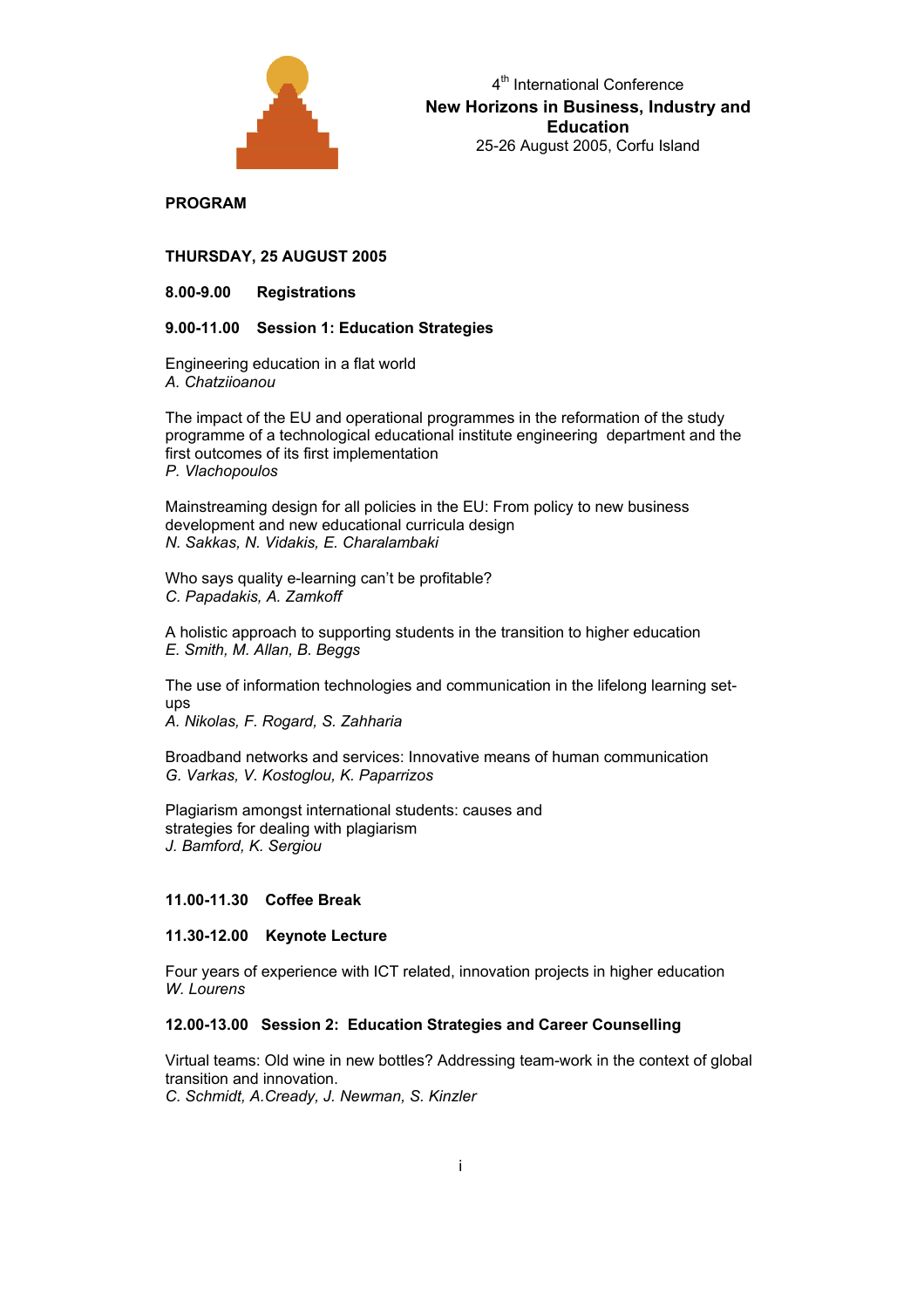

**PROGRAM** 

**THURSDAY, 25 AUGUST 2005** 

**8.00-9.00 Registrations** 

## **9.00-11.00 Session 1: Education Strategies**

Engineering education in a flat world *A. Chatziioanou* 

The impact of the EU and operational programmes in the reformation of the study programme of a technological educational institute engineering department and the first outcomes of its first implementation *P. Vlachopoulos* 

Mainstreaming design for all policies in the EU: From policy to new business development and new educational curricula design *N. Sakkas, N. Vidakis, E. Charalambaki* 

Who says quality e-learning can't be profitable? *C. Papadakis, A. Zamkoff* 

A holistic approach to supporting students in the transition to higher education *E. Smith, M. Allan, B. Beggs* 

The use of information technologies and communication in the lifelong learning setups

*A. Nikolas, F. Rogard, S. Zahharia* 

Broadband networks and services: Innovative means of human communication *G. Varkas, V. Kostoglou, K. Paparrizos* 

Plagiarism amongst international students: causes and strategies for dealing with plagiarism *J. Bamford, K. Sergiou*

# **11.00-11.30 Coffee Break**

# **11.30-12.00 Keynote Lecture**

Four years of experience with ICT related, innovation projects in higher education *W. Lourens* 

## **12.00-13.00 Session 2: Education Strategies and Career Counselling**

Virtual teams: Old wine in new bottles? Addressing team-work in the context of global transition and innovation. *C. Schmidt, A.Cready, J. Newman, S. Kinzler*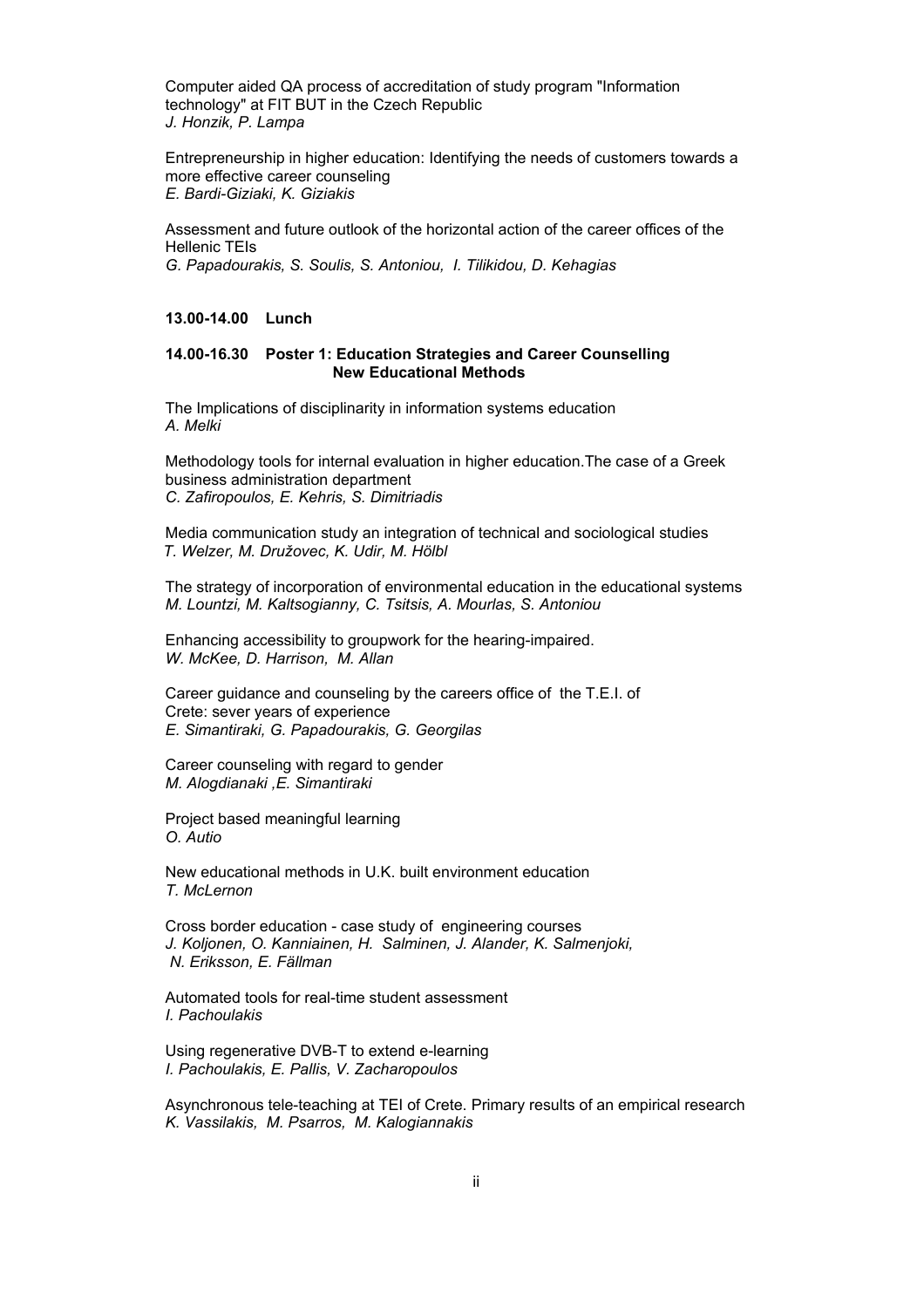Computer aided QA process of accreditation of study program "Information technology" at FIT BUT in the Czech Republic *J. Honzik, P. Lampa* 

Entrepreneurship in higher education: Identifying the needs of customers towards a more effective career counseling *E. Bardi-Giziaki, K. Giziakis* 

Assessment and future outlook of the horizontal action of the career offices of the Hellenic TEIs *G. Papadourakis, S. Soulis, S. Antoniou, I. Tilikidou, D. Kehagias* 

#### **13.00-14.00 Lunch**

### **14.00-16.30 Poster 1: Education Strategies and Career Counselling New Educational Methods**

The Implications of disciplinarity in information systems education *A. Melki* 

Methodology tools for internal evaluation in higher education.The case of a Greek business administration department *C. Zafiropoulos, E. Kehris, S. Dimitriadis* 

Media communication study an integration of technical and sociological studies  *T. Welzer, M. Družovec, K. Udir, M. Hölbl* 

The strategy of incorporation of environmental education in the educational systems *M. Lountzi, M. Kaltsogianny, C. Tsitsis, A. Mourlas, S. Antoniou* 

Enhancing accessibility to groupwork for the hearing-impaired. *W. McKee, D. Harrison, M. Allan* 

Career guidance and counseling by the careers office of the T.E.I. of Crete: sever years of experience *E. Simantiraki, G. Papadourakis, G. Georgilas* 

Career counseling with regard to gender *M. Alogdianaki ,E. Simantiraki*

Project based meaningful learning *O. Autio* 

New educational methods in U.K. built environment education *T. McLernon* 

Cross border education - case study of engineering courses *J. Koljonen, O. Kanniainen, H. Salminen, J. Alander, K. Salmenjoki, N. Eriksson, E. Fällman* 

Automated tools for real-time student assessment *I. Pachoulakis* 

Using regenerative DVB-T to extend e-learning *I. Pachoulakis, E. Pallis, V. Zacharopoulos* 

Asynchronous tele-teaching at TEI of Crete. Primary results of an empirical research *K. Vassilakis, M. Psarros, M. Kalogiannakis*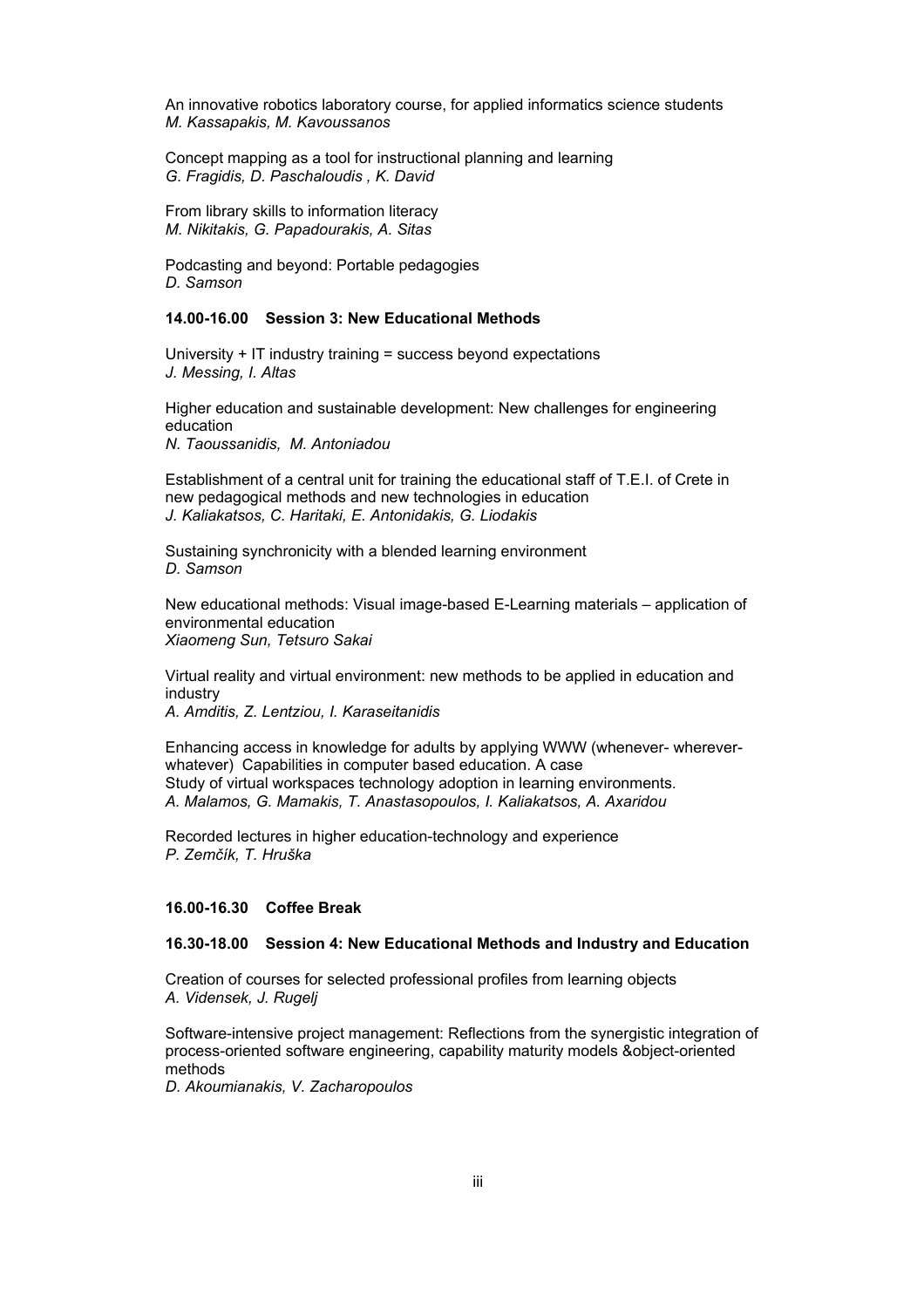An innovative robotics laboratory course, for applied informatics science students *M. Kassapakis, M. Kavoussanos* 

Concept mapping as a tool for instructional planning and learning *G. Fragidis, D. Paschaloudis , K. David* 

From library skills to information literacy *M. Nikitakis, G. Papadourakis, A. Sitas* 

Podcasting and beyond: Portable pedagogies *D. Samson* 

## **14.00-16.00 Session 3: New Educational Methods**

University + IT industry training = success beyond expectations *J. Messing, I. Altas* 

Higher education and sustainable development: New challenges for engineering education

*N. Taoussanidis, M. Antoniadou* 

Establishment of a central unit for training the educational staff of T.E.I. of Crete in new pedagogical methods and new technologies in education *J. Kaliakatsos, C. Haritaki, E. Antonidakis, G. Liodakis* 

Sustaining synchronicity with a blended learning environment *D. Samson* 

New educational methods: Visual image-based E-Learning materials – application of environmental education *Xiaomeng Sun, Tetsuro Sakai* 

Virtual reality and virtual environment: new methods to be applied in education and industry

*A. Amditis, Z. Lentziou, I. Karaseitanidis* 

Enhancing access in knowledge for adults by applying WWW (whenever- whereverwhatever) Capabilities in computer based education. A case Study of virtual workspaces technology adoption in learning environments. *A. Malamos, G. Mamakis, T. Anastasopoulos, I. Kaliakatsos, A. Axaridou* 

Recorded lectures in higher education-technology and experience *P. Zemčík, T. Hruška* 

## **16.00-16.30 Coffee Break**

## **16.30-18.00 Session 4: New Educational Methods and Industry and Education**

Creation of courses for selected professional profiles from learning objects *A. Vidensek, J. Rugelj* 

Software-intensive project management: Reflections from the synergistic integration of process-oriented software engineering, capability maturity models &object-oriented methods

*D. Akoumianakis, V. Zacharopoulos*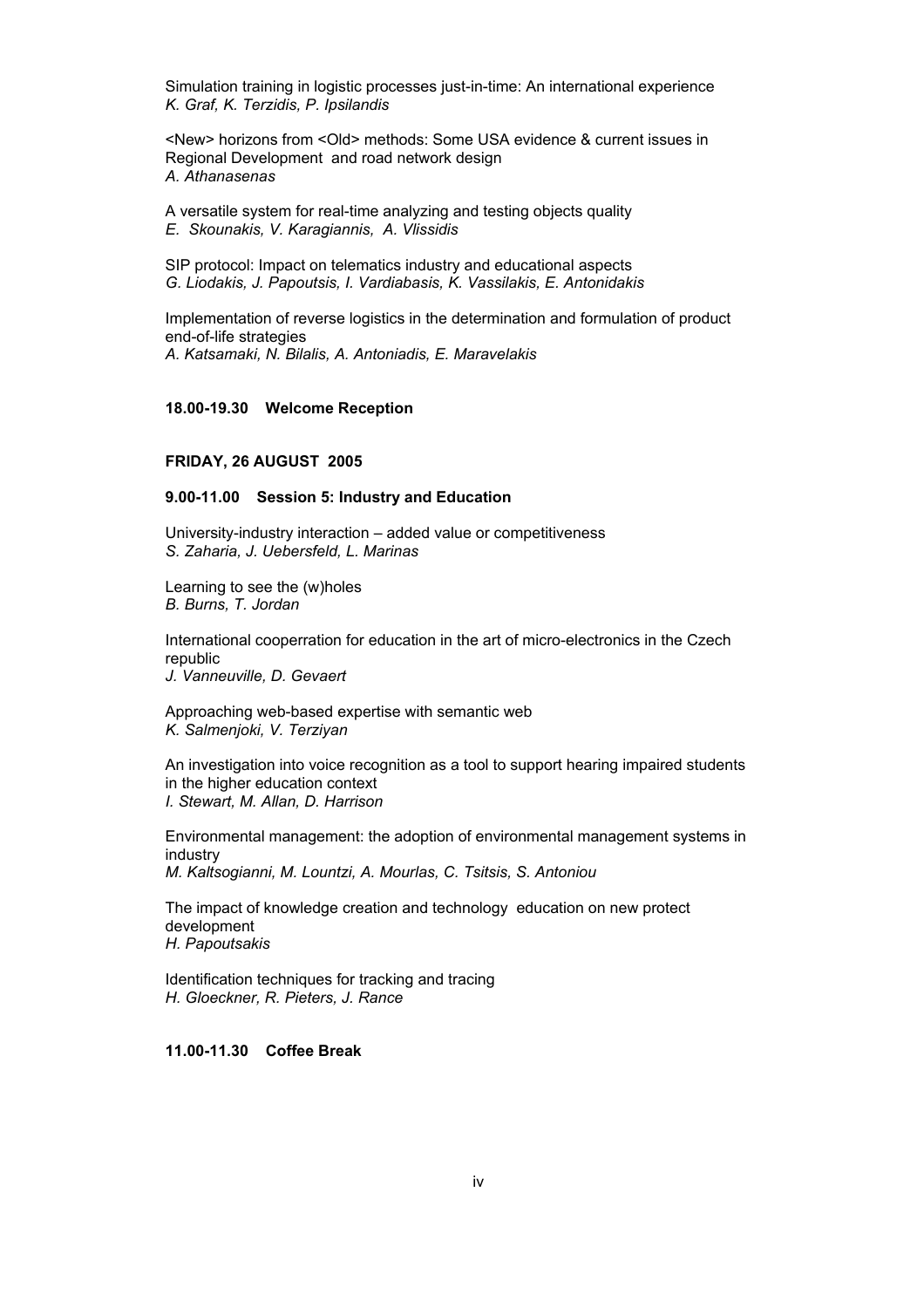Simulation training in logistic processes just-in-time: An international experience *K. Graf, K. Terzidis, P. Ipsilandis* 

<New> horizons from <Old> methods: Some USA evidence & current issues in Regional Development and road network design *A. Athanasenas* 

A versatile system for real-time analyzing and testing objects quality *E. Skounakis, V. Karagiannis, A. Vlissidis* 

SIP protocol: Impact on telematics industry and educational aspects *G. Liodakis, J. Papoutsis, I. Vardiabasis, K. Vassilakis, E. Antonidakis* 

Implementation of reverse logistics in the determination and formulation of product end-of-life strategies *A. Katsamaki, N. Bilalis, A. Antoniadis, E. Maravelakis* 

# **18.00-19.30 Welcome Reception**

#### **FRIDAY, 26 AUGUST 2005**

#### **9.00-11.00 Session 5: Industry and Education**

University-industry interaction – added value or competitiveness *S. Zaharia, J. Uebersfeld, L. Marinas* 

Learning to see the (w)holes *B. Burns, T. Jordan* 

International cooperration for education in the art of micro-electronics in the Czech republic *J. Vanneuville, D. Gevaert* 

Approaching web-based expertise with semantic web *K. Salmenjoki, V. Terziyan* 

An investigation into voice recognition as a tool to support hearing impaired students in the higher education context *I. Stewart, M. Allan, D. Harrison* 

Environmental management: the adoption of environmental management systems in industry *M. Kaltsogianni, M. Lountzi, A. Mourlas, C. Tsitsis, S. Antoniou* 

The impact of knowledge creation and technology education on new protect development *H. Papoutsakis*

Identification techniques for tracking and tracing *H. Gloeckner, R. Pieters, J. Rance* 

**11.00-11.30 Coffee Break**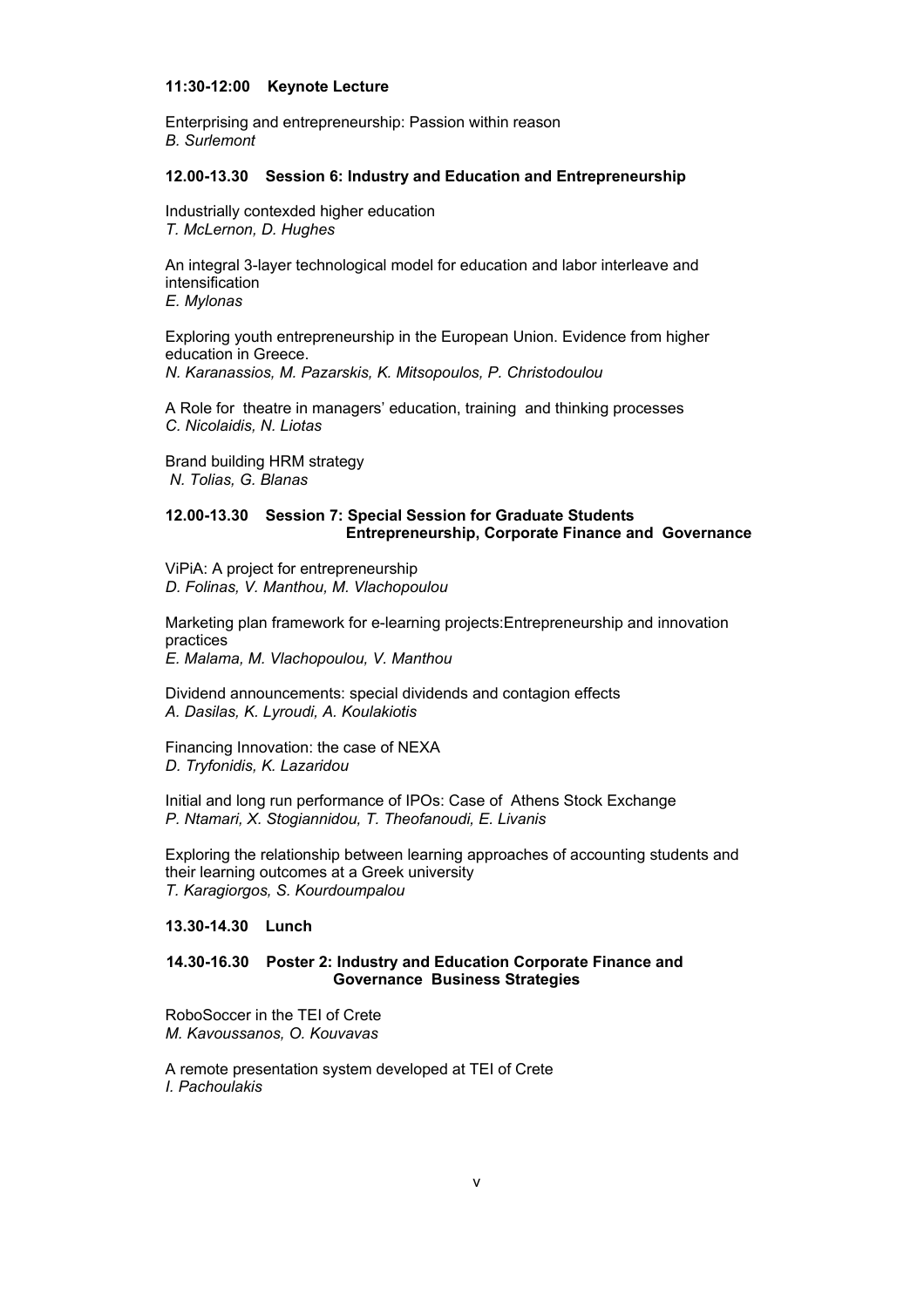#### **11:30-12:00 Keynote Lecture**

Enterprising and entrepreneurship: Passion within reason *B. Surlemont* 

#### **12.00-13.30 Session 6: Industry and Education and Entrepreneurship**

Industrially contexded higher education *T. McLernon, D. Hughes* 

An integral 3-layer technological model for education and labor interleave and intensification *E. Mylonas* 

Exploring youth entrepreneurship in the European Union. Evidence from higher education in Greece. *N. Karanassios, M. Pazarskis, K. Mitsopoulos, P. Christodoulou* 

A Role for theatre in managers' education, training and thinking processes *C. Nicolaidis, N. Liotas* 

Brand building HRM strategy  *N. Tolias, G. Blanas* 

## **12.00-13.30 Session 7: Special Session for Graduate Students Entrepreneurship, Corporate Finance and Governance**

ViPiA: A project for entrepreneurship *D. Folinas, V. Manthou, M. Vlachopoulou* 

Marketing plan framework for e-learning projects:Entrepreneurship and innovation practices

*E. Malama, M. Vlachopoulou, V. Manthou* 

Dividend announcements: special dividends and contagion effects *A. Dasilas, K. Lyroudi, A. Koulakiotis* 

Financing Innovation: the case of NEXA *D. Tryfonidis, K. Lazaridou* 

Initial and long run performance of IPOs: Case of Athens Stock Exchange *P. Ntamari, X. Stogiannidou, T. Theofanoudi, E. Livanis*

Exploring the relationship between learning approaches of accounting students and their learning outcomes at a Greek university *T. Karagiorgos, S. Kourdoumpalou*

## **13.30-14.30 Lunch**

## **14.30-16.30 Poster 2: Industry and Education Corporate Finance and Governance Business Strategies**

RoboSoccer in the TEI of Crete *M. Kavoussanos, O. Kouvavas* 

A remote presentation system developed at TEI of Crete *I. Pachoulakis*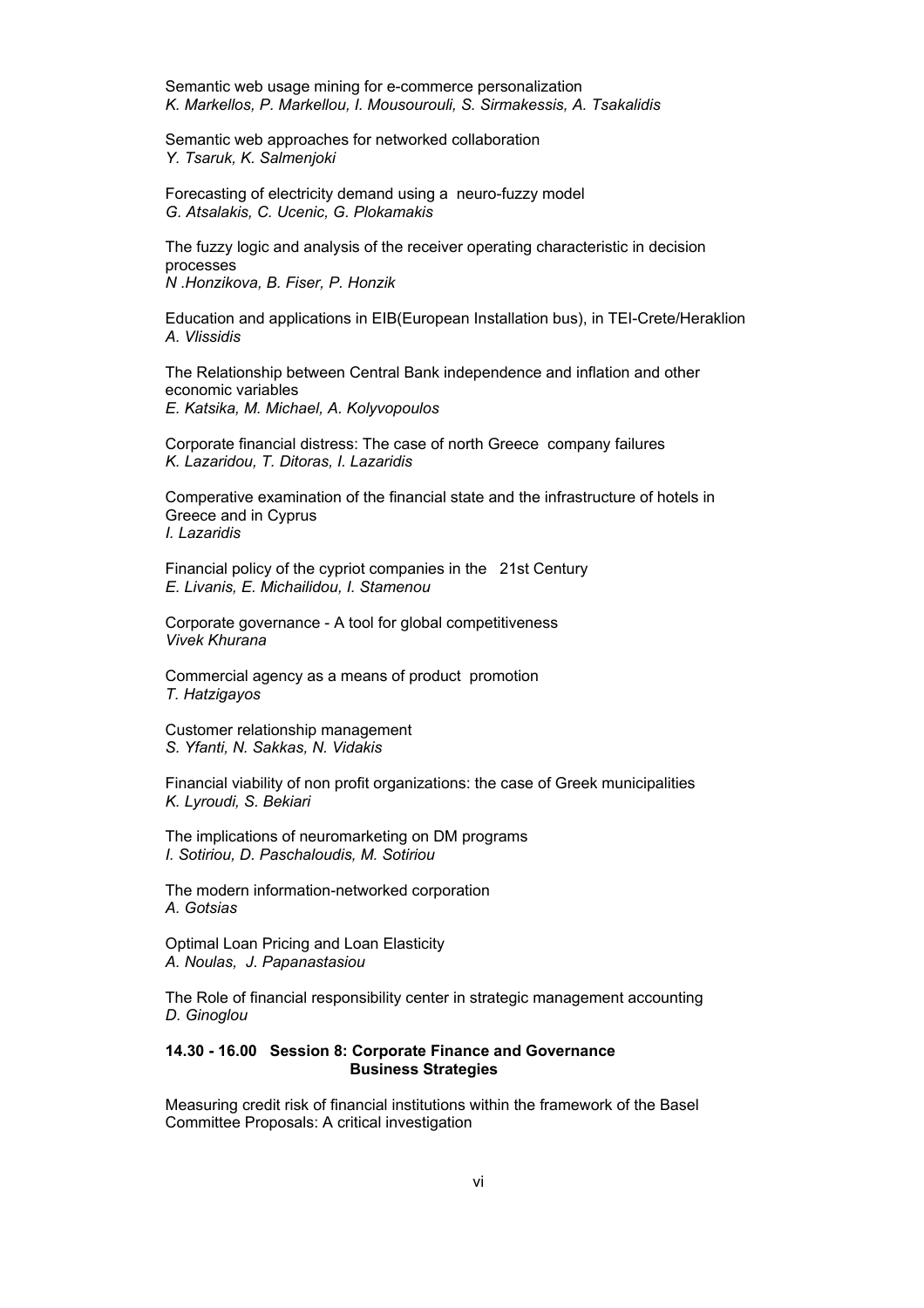Semantic web usage mining for e-commerce personalization *K. Markellos, P. Markellou, I. Mousourouli, S. Sirmakessis, A. Tsakalidis* 

Semantic web approaches for networked collaboration *Y. Tsaruk, K. Salmenjoki* 

Forecasting of electricity demand using a neuro-fuzzy model *G. Atsalakis, C. Ucenic, G. Plokamakis* 

The fuzzy logic and analysis of the receiver operating characteristic in decision processes *N .Honzikova, B. Fiser, P. Honzik*

Education and applications in EIB(European Installation bus), in TEI-Crete/Heraklion *A. Vlissidis* 

The Relationship between Central Bank independence and inflation and other economic variables *E. Katsika, M. Michael, A. Kolyvopoulos* 

Corporate financial distress: The case of north Greece company failures *K. Lazaridou, T. Ditoras, I. Lazaridis* 

Comperative examination of the financial state and the infrastructure of hotels in Greece and in Cyprus *I. Lazaridis* 

Financial policy of the cypriot companies in the 21st Century *E. Livanis, E. Michailidou, I. Stamenou*

Corporate governance - A tool for global competitiveness *Vivek Khurana* 

Commercial agency as a means of product promotion *T. Hatzigayos* 

Customer relationship management *S. Yfanti, N. Sakkas, N. Vidakis* 

Financial viability of non profit organizations: the case of Greek municipalities *K. Lyroudi, S. Bekiari* 

The implications of neuromarketing on DM programs *I. Sotiriou, D. Paschaloudis, M. Sotiriou* 

The modern information-networked corporation *A. Gotsias* 

Optimal Loan Pricing and Loan Elasticity *A. Noulas, J. Papanastasiou*

The Role of financial responsibility center in strategic management accounting *D. Ginoglou* 

## **14.30 - 16.00 Session 8: Corporate Finance and Governance Business Strategies**

Measuring credit risk of financial institutions within the framework of the Basel Committee Proposals: A critical investigation